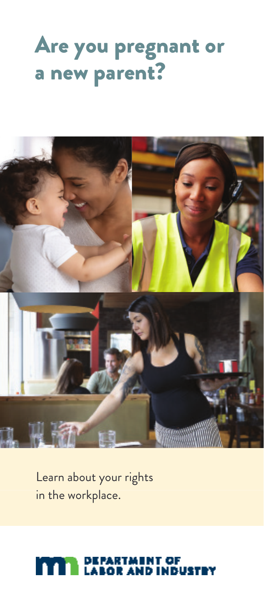### Are you pregnant or a new parent?



Learn about your rights in the workplace.

#### RTMENT OF P.<br>Li l r 16 II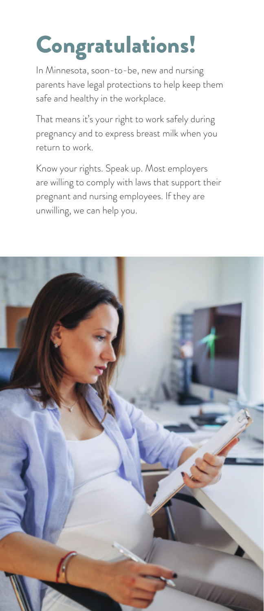# Congratulations!

In Minnesota, soon-to-be, new and nursing parents have legal protections to help keep them safe and healthy in the workplace.

That means it's your right to work safely during pregnancy and to express breast milk when you return to work.

Know your rights. Speak up. Most employers are willing to comply with laws that support their pregnant and nursing employees. If they are unwilling, we can help you.

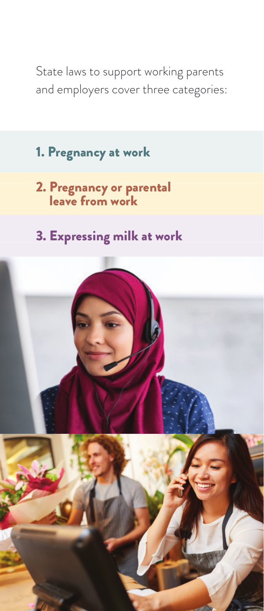State laws to support working parents and employers cover three categories:

- 1. Pregnancy at work
- 2. Pregnancy or parental leave from work
- 3. Expressing milk at work

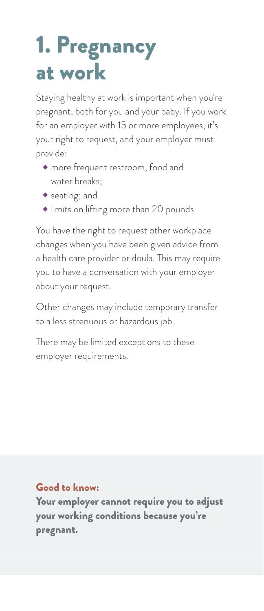# 1. Pregnancy at work

Staying healthy at work is important when you're pregnant, both for you and your baby. If you work for an employer with 15 or more employees, it's your right to request, and your employer must provide:

- more frequent restroom, food and water breaks;
- seating; and
- limits on lifting more than 20 pounds.

You have the right to request other workplace changes when you have been given advice from a health care provider or doula. This may require you to have a conversation with your employer about your request.

Other changes may include temporary transfer to a less strenuous or hazardous job.

There may be limited exceptions to these employer requirements.

### Good to know:

Your employer cannot require you to adjust your working conditions because you're pregnant.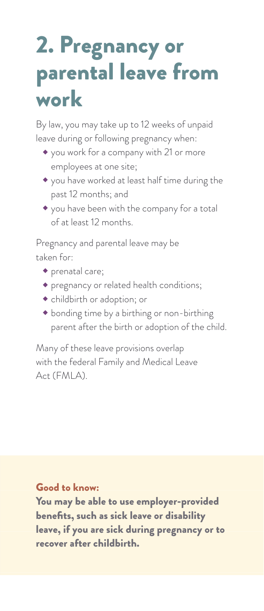### 2. Pregnancy or parental leave from work

By law, you may take up to 12 weeks of unpaid leave during or following pregnancy when:

- you work for a company with 21 or more employees at one site;
- you have worked at least half time during the past 12 months; and
- you have been with the company for a total of at least 12 months.

Pregnancy and parental leave may be taken for:

- prenatal care;
- pregnancy or related health conditions;
- childbirth or adoption; or
- bonding time by a birthing or non-birthing parent after the birth or adoption of the child.

Many of these leave provisions overlap with the federal Family and Medical Leave Act (FMLA).

Good to know:

You may be able to use employer-provided benefits, such as sick leave or disability leave, if you are sick during pregnancy or to recover after childbirth.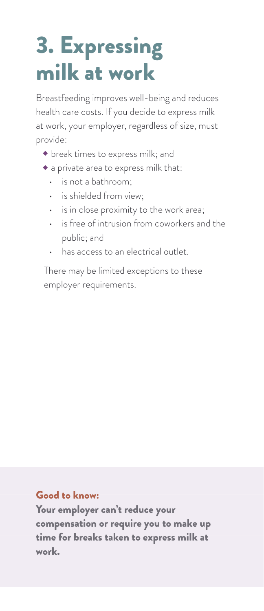# 3. Expressing milk at work

Breastfeeding improves well-being and reduces health care costs. If you decide to express milk at work, your employer, regardless of size, must provide:

- break times to express milk; and
- a private area to express milk that:
	- is not a bathroom;
	- is shielded from view;
	- is in close proximity to the work area;
	- is free of intrusion from coworkers and the public; and
	- has access to an electrical outlet.

There may be limited exceptions to these employer requirements.

### Good to know:

Your employer can't reduce your compensation or require you to make up time for breaks taken to express milk at work.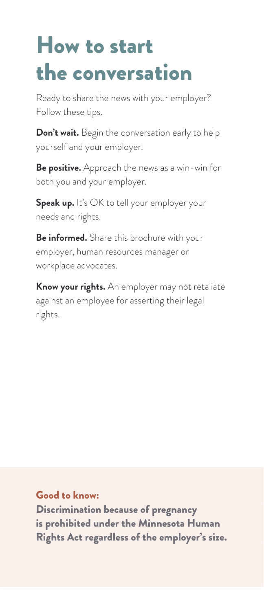### How to start the conversation

Ready to share the news with your employer? Follow these tips.

**Don't wait.** Begin the conversation early to help yourself and your employer.

**Be positive.** Approach the news as a win-win for both you and your employer.

**Speak up.** It's OK to tell your employer your needs and rights.

**Be informed.** Share this brochure with your employer, human resources manager or workplace advocates.

**Know your rights.** An employer may not retaliate against an employee for asserting their legal rights.

Good to know:

Discrimination because of pregnancy is prohibited under the Minnesota Human Rights Act regardless of the employer's size.